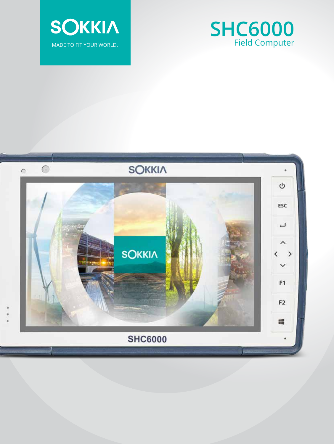



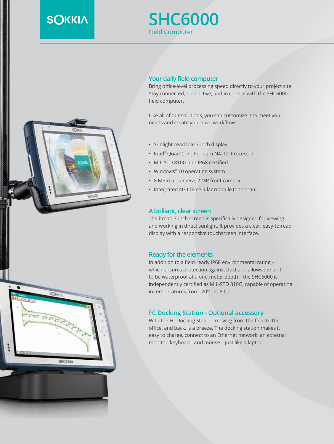# **SOKKIA**

SOKKIA

**SHC6000** 

# **SHC6000** Field Computer

# **Your daily field computer**

Bring office-level processing speed directly to your project site. Stay connected, productive, and in control with the SHC6000 field computer.

Like all of our solutions, you can customize it to meet your needs and create your own workflows.

- Sunlight-readable 7-inch display
- Intel® Quad-Core Pentium N4200 Processor
- MIL-STD 810G and IP68 certified
- Windows® 10 operating system
- 8 MP rear camera, 2 MP front camera
- Integrated 4G LTE cellular module (optional)

#### **A brilliant, clear screen**

The broad 7-inch screen is specifically designed for viewing and working in direct sunlight. It provides a clear, easy-to-read display with a responsive touchscreen interface.

#### **Ready for the elements**

In addition to a field-ready IP68 environmental rating – which ensures protection against dust and allows the unit to be waterproof at a one-meter depth – the SHC6000 is independently certified as MIL-STD 810G, capable of operating in temperatures from -20°C to 50°C.

#### **FC Docking Station - Optional accessory**

With the FC Docking Station, moving from the field to the office, and back, is a breeze. The docking station makes it easy to charge, connect to an Ethernet network, an external monitor, keyboard, and mouse – just like a laptop.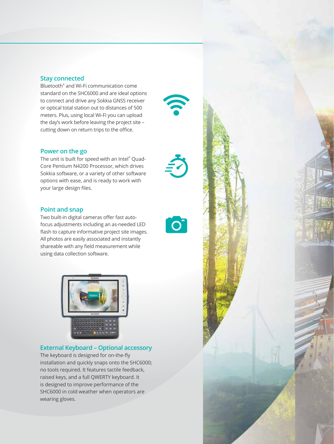#### **Stay connected**

Bluetooth® and Wi-Fi communication come standard on the SHC6000 and are ideal options to connect and drive any Sokkia GNSS receiver or optical total station out to distances of 500 meters. Plus, using local Wi-Fi you can upload the day's work before leaving the project site – cutting down on return trips to the office.

#### **Power on the go**

The unit is built for speed with an Intel® Quad-Core Pentium N4200 Processor, which drives Sokkia software, or a variety of other software options with ease, and is ready to work with your large design files.

## **Point and snap**

Two built-in digital cameras offer fast autofocus adjustments including an as-needed LED flash to capture informative project site images. All photos are easily associated and instantly shareable with any field measurement while using data collection software.

 $\overline{\textbf{O}}$ 



#### **External Keyboard – Optional accessory**

The keyboard is designed for on-the-fly installation and quickly snaps onto the SHC6000; no tools required. It features tactile feedback, raised keys, and a full QWERTY keyboard. It is designed to improve performance of the SHC6000 in cold weather when operators are wearing gloves.